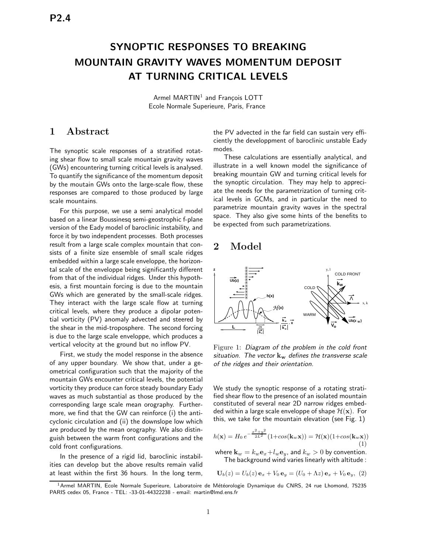# SYNOPTIC RESPONSES TO BREAKING MOUNTAIN GRAVITY WAVES MOMENTUM DEPOSIT AT TURNING CRITICAL LEVELS

Armel MARTIN $^1$  and François LOTT Ecole Normale Superieure, Paris, France

### 1 Abstract

The synoptic scale responses of a stratified rotating shear flow to small scale mountain gravity waves (GWs) encountering turning critical levels is analysed. To quantify the significance of the momentum deposit by the moutain GWs onto the large-scale flow, these responses are compared to those produced by large scale mountains.

For this purpose, we use a semi analytical model based on a linear Boussinesq semi-geostrophic f-plane version of the Eady model of baroclinic instability, and force it by two independent processes. Both processes result from a large scale complex mountain that consists of a finite size ensemble of small scale ridges embedded within a large scale enveloppe, the horizontal scale of the enveloppe being significantly different from that of the individual ridges. Under this hypothesis, a first mountain forcing is due to the mountain GWs which are generated by the small-scale ridges. They interact with the large scale flow at turning critical levels, where they produce a dipolar potential vorticity (PV) anomaly advected and steered by the shear in the mid-troposphere. The second forcing is due to the large scale enveloppe, which produces a vertical velocity at the ground but no inflow PV.

First, we study the model response in the absence of any upper boundary. We show that, under a geometrical configuration such that the majority of the mountain GWs encounter critical levels, the potential vorticity they produce can force steady boundary Eady waves as much substantial as those produced by the corresponding large scale mean orography. Furthermore, we find that the GW can reinforce (i) the anticyclonic circulation and (ii) the downslope low which are produced by the mean orography. We also distinguish between the warm front configurations and the cold front configurations.

In the presence of a rigid lid, baroclinic instabilities can develop but the above results remain valid at least within the first 36 hours. In the long term,

the PV advected in the far field can sustain very efficiently the developpment of baroclinic unstable Eady modes.

These calculations are essentially analytical, and illustrate in a well known model the significance of breaking mountain GW and turning critical levels for the synoptic circulation. They may help to appreciate the needs for the parametrization of turning critical levels in GCMs, and in particular the need to parametrize mountain gravity waves in the spectral space. They also give some hints of the benefits to be expected from such parametrizations.

#### 2 Model



Figure 1: Diagram of the problem in the cold front situation. The vector  $k_w$  defines the transverse scale of the ridges and their orientation.

We study the synoptic response of a rotating stratified shear flow to the presence of an isolated mountain constituted of several near 2D narrow ridges embedded within a large scale enveloppe of shape  $\mathcal{H}(\mathbf{x})$ . For this, we take for the mountain elevation (see Fig. 1)

$$
h(\mathbf{x}) = H_0 e^{-\frac{x^2 + y^2}{2L^2}} (1 + \cos(\mathbf{k}_w \mathbf{x})) = \mathcal{H}(\mathbf{x}) (1 + \cos(\mathbf{k}_w \mathbf{x}))
$$
\n(1)

where  $\mathbf{k}_w = k_w \mathbf{e}_x + l_w \mathbf{e}_y$ , and  $k_w > 0$  by convention. The background wind varies linearly with altitude :

$$
U_b(z) = U_b(z) e_x + V_0 e_y = (U_0 + \Lambda z) e_x + V_0 e_y, (2)
$$

 $^1$ Armel MARTIN, Ecole Normale Superieure, Laboratoire de Météorologie Dynamique du CNRS, 24 rue Lhomond, 75235 PARIS cedex 05, France - TEL: -33-01-44322238 - email: martin@lmd.ens.fr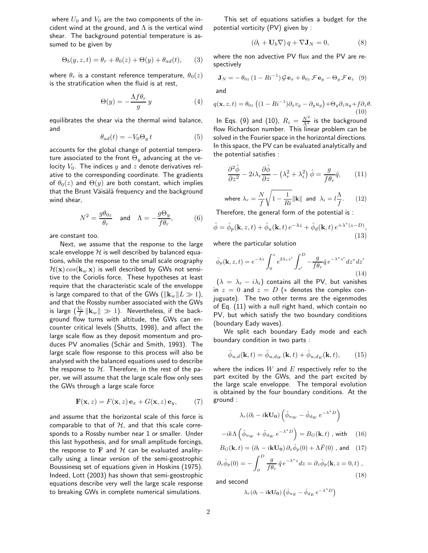where  $U_0$  and  $V_0$  are the two components of the incident wind at the ground, and  $\Lambda$  is the vertical wind shear. The background potential temperature is assumed to be given by

$$
\Theta_b(y, z, t) = \theta_r + \theta_0(z) + \Theta(y) + \theta_{ad}(t), \qquad (3)
$$

where  $\theta_r$  is a constant reference temperature,  $\theta_0(z)$ is the stratification when the fluid is at rest,

$$
\Theta(y) = -\frac{\Lambda f \theta_r}{g} y \tag{4}
$$

equilibrates the shear via the thermal wind balance, and

$$
\theta_{ad}(t) = -V_0 \Theta_y t \tag{5}
$$

accounts for the global change of potential temperature associated to the front  $\Theta_y$  advancing at the velocity  $V_0$ . The indices y and z denote derivatives relative to the corresponding coordinate. The gradients of  $\theta_0(z)$  and  $\Theta(y)$  are both constant, which implies that the Brunt Väisälä frequency and the background wind shear,

$$
N^2 = \frac{g\theta_{0z}}{\theta_r} \quad \text{and} \quad \Lambda = -\frac{g\Theta_y}{f\theta_r}, \tag{6}
$$

are constant too.

Next, we assume that the response to the large scale enveloppe  $H$  is well described by balanced equations, while the response to the small scale orography  $\mathcal{H}(\mathbf{x}) \cos(\mathbf{k}_w \mathbf{x})$  is well described by GWs not sensitive to the Coriolis force. These hypotheses at least require that the characteristic scale of the enveloppe is large compared to that of the GWs ( $\|\mathbf{k}_w\| L \gg 1$ ), and that the Rossby number associated with the GWs is large  $(\frac{V_0}{f}\left\|\mathbf{k}_w\right\|\,\gg\,1).$  Nevertheless, if the background flow turns with altitude, the GWs can encounter critical levels (Shutts, 1998), and affect the large scale flow as they deposit momentum and produces PV anomalies (Schär and Smith, 1993). The large scale flow response to this process will also be analysed with the balanced equations used to describe the response to  $H$ . Therefore, in the rest of the paper, we will assume that the large scale flow only sees the GWs through a large scale force

$$
\mathbf{F}(\mathbf{x}, z) = F(\mathbf{x}, z) \mathbf{e}_x + G(\mathbf{x}, z) \mathbf{e}_y, \qquad (7)
$$

and assume that the horizontal scale of this force is comparable to that of  $H$ , and that this scale corresponds to a Rossby number near 1 or smaller. Under this last hypothesis, and for small amplitude forcings, the response to F and  $H$  can be evaluated analitycally using a linear version of the semi-geostrophic Boussinesq set of equations given in Hoskins (1975). Indeed, Lott (2003) has shown that semi-geostrophic equations describe very well the large scale response to breaking GWs in complete numerical simulations.

This set of equations satisfies a budget for the potential vorticity (PV) given by :

$$
(\partial_t + \mathbf{U}_b \nabla) q + \nabla \mathbf{J}_N = 0, \tag{8}
$$

where the non advective PV flux and the PV are respectively

$$
\mathbf{J}_N = -\theta_{0z} \left(1 - Ri^{-1}\right) \mathcal{G} \mathbf{e}_x + \theta_{0z} \mathcal{F} \mathbf{e}_y - \Theta_y \mathcal{F} \mathbf{e}_z \tag{9}
$$

and

$$
q(\mathbf{x}, z, t) = \theta_{0z} \left( (1 - Ri^{-1}) \partial_x v_g - \partial_y u_g \right) + \Theta_y \partial_z u_g + f \partial_z \theta.
$$
\n(10)

In Eqs. (9) and (10),  $R_i = \frac{N^2}{\Lambda^2}$  is the background flow Richardson number. This linear problem can be solved in the Fourier space in the horizontal directions. In this space, the PV can be evaluated analytically and the potential satisfies :

$$
\frac{\partial^2 \hat{\phi}}{\partial z^2} - 2i\lambda_i \frac{\partial \hat{\phi}}{\partial z} - \left(\lambda_r^2 + \lambda_i^2\right) \hat{\phi} = \frac{g}{f\theta_r} \hat{q},\qquad(11)
$$

where 
$$
\lambda_r = \frac{N}{f} \sqrt{1 - \frac{1}{Ri}} ||\mathbf{k}||
$$
 and  $\lambda_i = l \frac{\Lambda}{f}$ . (12)

Therefore, the general form of the potential is :

$$
\hat{\phi} = \hat{\phi}_p(\mathbf{k}, z, t) + \hat{\phi}_u(\mathbf{k}, t) e^{-\lambda z} + \hat{\phi}_d(\mathbf{k}, t) e^{+\lambda^*(z - D)},
$$
\n(13)

where the particular solution

$$
\hat{\phi}_p(\mathbf{k}, z, t) = e^{-\lambda z} \int_0^z e^{2\lambda_r z'} \int_{z'}^D -\frac{g}{f\theta_r} \hat{q} e^{-\lambda^* z^v} dz'' dz' \tag{14}
$$

 $(\lambda = \lambda_r - i\lambda_i)$  contains all the PV, but vanishes in  $z = 0$  and  $z = D$  (\* denotes the complex conjuguate). The two other terms are the eigenmodes of Eq. (11) with a null right hand, which contain no PV, but which satisfy the two boundary conditions (boundary Eady waves).

We split each boundary Eady mode and each boundary condition in two parts :

$$
\hat{\phi}_{u,d}(\mathbf{k},t) = \hat{\phi}_{u,d_W}(\mathbf{k},t) + \hat{\phi}_{u,d_E}(\mathbf{k},t),\qquad(15)
$$

where the indices  $W$  and  $E$  respectively refer to the part excited by the GWs, and the part excited by the large scale enveloppe. The temporal evolution is obtained by the four boundary conditions. At the ground :

$$
\lambda_r(\partial_t - i{\bf k} {\bf U_0})\left(\hat{\phi}_{u_W} - \hat{\phi}_{d_W} e^{-\lambda^* D}\right)
$$

$$
-ik\Lambda \left(\hat{\phi}_{u_W} + \hat{\phi}_{d_W} e^{-\lambda^* D}\right) = B_G(\mathbf{k}, t) \text{ , with } (16)
$$

$$
B_G(\mathbf{k}, t) = (\partial_t - i\mathbf{k} \mathbf{U_0}) \partial_z \hat{\phi}_p(0) + \Lambda \hat{F}(0) \text{ , and } (17)
$$

$$
\partial_z \hat{\phi}_p(0) = -\int_0^D \frac{g}{f\theta_r} \hat{q} e^{-\lambda^* z} dz = \partial_z \hat{\phi}_p(\mathbf{k}, z = 0, t) ,
$$
\n(18)

and second

$$
\lambda_r (\partial_t - i {\bf k} {\bf U_0}) \left( \hat{\phi}_{u_E} - \hat{\phi}_{d_E} e^{-\lambda^* D} \right)
$$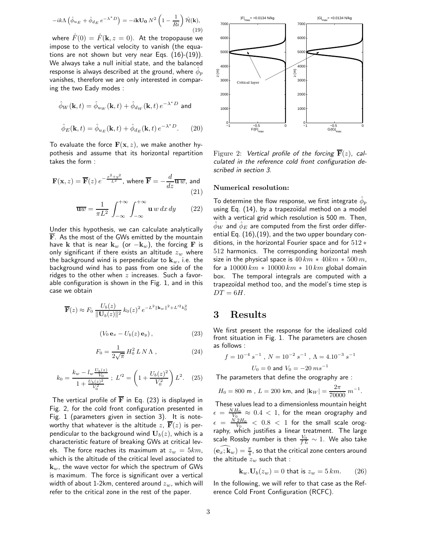$$
-ik\Lambda \left(\hat{\phi}_{u_E} + \hat{\phi}_{d_E} e^{-\lambda^* D}\right) = -i\mathbf{k} \mathbf{U_0} N^2 \left(1 - \frac{1}{Ri}\right) \hat{\mathcal{H}}(\mathbf{k}),\tag{19}
$$

where  $\hat{F}(0) = \hat{F}(\mathbf{k}, z = 0)$ . At the tropopause we impose to the vertical velocity to vanish (the equations are not shown but very near Eqs. (16)-(19)). We always take a null initial state, and the balanced response is always described at the ground, where  $\hat{\phi}_p$ vanishes, therefore we are only interested in comparing the two Eady modes :

$$
\hat{\phi}_W(\mathbf{k}, t) = \hat{\phi}_{u_W}(\mathbf{k}, t) + \hat{\phi}_{d_W}(\mathbf{k}, t) e^{-\lambda^* D} \text{ and}
$$

$$
\hat{\phi}_E(\mathbf{k}, t) = \hat{\phi}_{u_E}(\mathbf{k}, t) + \hat{\phi}_{d_E}(\mathbf{k}, t) e^{-\lambda^* D}.
$$
 (20)

To evaluate the force  $F(x, z)$ , we make another hypothesis and assume that its horizontal repartition takes the form :

$$
\mathbf{F}(\mathbf{x}, z) = \overline{\mathbf{F}}(z) e^{-\frac{x^2 + y^2}{L^2}}, \text{ where } \overline{\mathbf{F}} = -\frac{d}{dz} \overline{\mathbf{u} w}, \text{ and}
$$
\n(21)

$$
\overline{\mathbf{u}w} = \frac{1}{\pi L^2} \int_{-\infty}^{+\infty} \int_{-\infty}^{+\infty} \mathbf{u} \, w \, dx \, dy \qquad (22)
$$

Under this hypothesis, we can calculate analytically  $\overline{F}$ . As the most of the GWs emitted by the mountain have k that is near  $\mathbf{k}_w$  (or  $-\mathbf{k}_w$ ), the forcing F is only significant if there exists an altitude  $z_w$  where the background wind is perpendicular to  $\mathbf{k}_w$ , i.e. the background wind has to pass from one side of the ridges to the other when  $z$  increases. Such a favorable configuration is shown in the Fig. 1, and in this case we obtain

$$
\overline{\mathbf{F}}(z) \approx F_0 \frac{U_b(z)}{\|\mathbf{U}_b(z)\|^2} k_0(z)^2 e^{-L^2 \|\mathbf{k}_w\|^2 + L'^2 k_0^2}
$$

$$
(V_0 \mathbf{e}_x - U_b(z) \mathbf{e}_y), \qquad (23)
$$

$$
F_0 = \frac{1}{2\sqrt{\pi}} H_0^2 L N \Lambda , \qquad (24)
$$

$$
k_0 = \frac{k_w - l_w \frac{U_b(z)}{V_0}}{1 + \frac{U_b(z)^2}{V_0^2}}; L'^2 = \left(1 + \frac{U_b(z)^2}{V_0^2}\right)L^2.
$$
 (25)

The vertical profile of  $\overline{F}$  in Eq. (23) is displayed in Fig. 2, for the cold front configuration presented in Fig. 1 (parameters given in section 3). It is noteworthy that whatever is the altitude z,  $\overline{F}(z)$  is perpendicular to the background wind  $\mathbf{U}_{b}(z)$ , which is a characteristic feature of breaking GWs at critical levels. The force reaches its maximum at  $z_w = 5km$ , which is the altitude of the critical level associated to  $\mathbf{k}_w$ , the wave vector for which the spectrum of GWs is maximum. The force is significant over a vertical width of about 1-2km, centered around  $z_w$ , which will refer to the critical zone in the rest of the paper.



Figure 2: Vertical profile of the forcing  $\overline{\mathbf{F}}(z)$ , calculated in the reference cold front configuration described in section 3.

#### Numerical resolution:

To determine the flow response, we first integrate  $\hat{\phi}_p$ using Eq.  $(14)$ , by a trapezoïdal method on a model with a vertical grid which resolution is 500 m. Then,  $\phi_W$  and  $\phi_E$  are computed from the first order differential Eq. (16),(19), and the two upper boundary conditions, in the horizontal Fourier space and for 512 ∗ 512 harmonics. The corresponding horizontal mesh size in the physical space is  $40 km * 40 km * 500 m$ , for a  $10000 \, km * 10000 \, km * 10 \, km$  global domain box. The temporal integrals are computed with a trapezoïdal method too, and the model's time step is  $DT = 6H$ .

# 3 Results

We first present the response for the idealized cold front situation in Fig. 1. The parameters are chosen as follows :

$$
f = 10^{-4} s^{-1}, N = 10^{-2} s^{-1}, \Lambda = 4.10^{-3} s^{-1}
$$
  

$$
U_0 = 0 \text{ and } V_0 = -20 \, ms^{-1}
$$

The parameters that define the orography are :

$$
H_0 = 800~{\rm m} \,\,,\, L = 200~{\rm km},\,{\rm and}\,\,|{\bf k}_W| = \frac{2\pi}{70000}~m^{-1}
$$

.

These values lead to a dimensionless mountain height  $\epsilon = \frac{NH_0}{V_0} \approx 0.4 < 1$ , for the mean orography and  $V_0$  $\epsilon = \frac{N2H_0}{V_0} < 0.8 < 1$  for the small scale orography, which justifies a linear treatment. The large scale Rossby number is then  $\frac{V_{0}}{f\,L}\sim 1.$  We also take  $(\mathbf{\overline{e}_x}; \mathbf{\overline{k}}_w) = \frac{\pi}{4}$ , so that the critical zone centers around the altitude  $z_w$  such that :

$$
\mathbf{k}_w \cdot \mathbf{U}_b(z_w) = 0 \text{ that is } z_w = 5 \, km. \qquad (26)
$$

In the following, we will refer to that case as the Reference Cold Front Configuration (RCFC).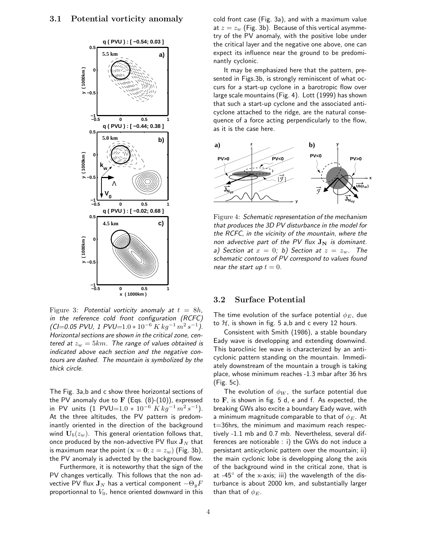

Figure 3: Potential vorticity anomaly at  $t = 8h$ , in the reference cold front configuration (RCFC)  $(CI=0.05 \text{ PVU}, 1 \text{ PVU}=1.0 * 10^{-6} \text{ K} \text{ kg}^{-1} \text{ m}^2 \text{ s}^{-1})$ . Horizontal sections are shown in the critical zone, centered at  $z_w = 5km$ . The range of values obtained is indicated above each section and the negative contours are dashed. The mountain is symbolized by the thick circle.

The Fig. 3a,b and c show three horizontal sections of the PV anomaly due to  $\bf{F}$  (Eqs. (8)-(10)), expressed in PV units  $(1 \text{ PVU}=1.0 * 10^{-6} \text{ K kg}^{-1} \text{ m}^2 \text{ s}^{-1}).$ At the three altitudes, the PV pattern is predominantly oriented in the direction of the background wind  $\mathbf{U}_{b}(z_{w})$ . This general orientation follows that, once produced by the non-advective PV flux  $J_N$  that is maximum near the point  $(x = 0; z = z_w)$  (Fig. 3b), the PV anomaly is advected by the background flow.

Furthermore, it is noteworthy that the sign of the PV changes vertically. This follows that the non advective PV flux  $\mathbf{J}_N$  has a vertical component  $-\Theta_y F$ proportionnal to  $V_0$ , hence oriented downward in this cold front case (Fig. 3a), and with a maximum value at  $z = z_w$  (Fig. 3b). Because of this vertical asymmetry of the PV anomaly, with the positive lobe under the critical layer and the negative one above, one can expect its influence near the ground to be predominantly cyclonic.

It may be emphasized here that the pattern, presented in Figs.3b, is strongly reminiscent of what occurs for a start-up cyclone in a barotropic flow over large scale mountains (Fig. 4). Lott (1999) has shown that such a start-up cyclone and the associated anticyclone attached to the ridge, are the natural consequence of a force acting perpendicularly to the flow, as it is the case here.



Figure 4: Schematic representation of the mechanism that produces the 3D PV disturbance in the model for the RCFC, in the vicinity of the mountain, where the non advective part of the PV flux  $J_N$  is dominant. a) Section at  $x = 0$ ; b) Section at  $z = z_w$ . The schematic contours of PV correspond to values found near the start up  $t = 0$ .

#### 3.2 Surface Potential

The time evolution of the surface potential  $\phi_E$ , due to  $H$ , is shown in fig. 5 a,b and c every 12 hours.

Consistent with Smith (1986), a stable boundary Eady wave is developping and extending downwind. This baroclinic lee wave is characterized by an anticyclonic pattern standing on the mountain. Immediately downstream of the mountain a trough is taking place, whose minimum reaches -1.3 mbar after 36 hrs (Fig. 5c).

The evolution of  $\phi_W$ , the surface potential due to F, is shown in fig. 5 d, e and f. As expected, the breaking GWs also excite a boundary Eady wave, with a minimum magnitude comparable to that of  $\phi_E$ . At t=36hrs, the minimum and maximum reach respectively -1.1 mb and 0.7 mb. Nevertheless, several differences are noticeable : i) the GWs do not induce a persistant anticyclonic pattern over the mountain; ii) the main cyclonic lobe is developping along the axis of the background wind in the critical zone, that is at  $-45^\circ$  of the x-axis; iii) the wavelength of the disturbance is about 2000 km, and substantially larger than that of  $\phi_E$ .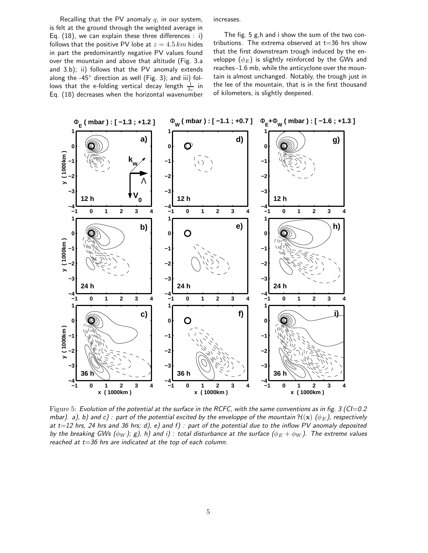Recalling that the PV anomaly  $q$ , in our system, is felt at the ground through the weighted average in Eq. (18), we can explain these three differences : i) follows that the positive PV lobe at  $z = 4.5 \, km$  hides in part the predominantly negative PV values found over the mountain and above that altitude (Fig. 3.a and 3.b); ii) follows that the PV anomaly extends along the -45 $\degree$  direction as well (Fig. 3); and iii) follows that the e-folding vertical decay length  $\frac{1}{\lambda_r}$  in Eq. (18) decreases when the horizontal wavenumber

increases.

The fig. 5 g,h and i show the sum of the two contributions. The extrema observed at  $t=36$  hrs show that the first downstream trough induced by the enveloppe  $(\phi_E)$  is slightly reïnforced by the GWs and reaches -1.6 mb, while the anticyclone over the mountain is almost unchanged. Notably, the trough just in the lee of the mountain, that is in the first thousand of kilometers, is slightly deepened.



Figure 5: Evolution of the potential at the surface in the RCFC, with the same conventions as in fig.  $3$  (CI=0.2) mbar). a), b) and c): part of the potential excited by the enveloppe of the mountain  $\mathcal{H}(\mathbf{x})$  ( $\phi_E$ ), respectively at  $t=12$  hrs, 24 hrs and 36 hrs; d), e) and f) : part of the potential due to the inflow PV anomaly deposited by the breaking GWs ( $\phi_W$ ); g), h) and i): total disturbance at the surface ( $\phi_E + \phi_W$ ). The extreme values reached at  $t=36$  hrs are indicated at the top of each column.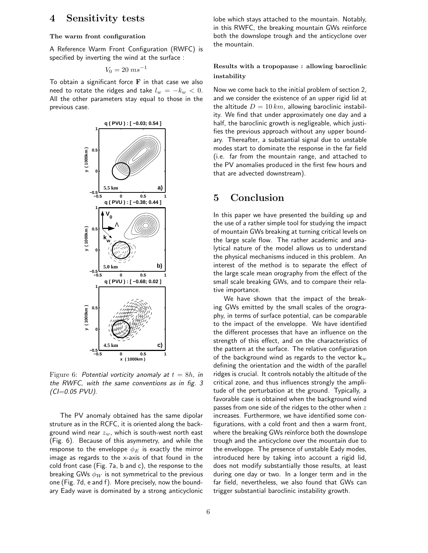## 4 Sensitivity tests

#### The warm front configuration

A Reference Warm Front Configuration (RWFC) is specified by inverting the wind at the surface :

$$
V_0 = 20 \; ms^{-1}
$$

To obtain a significant force  $\bf{F}$  in that case we also need to rotate the ridges and take  $l_w = -k_w < 0$ . All the other parameters stay equal to those in the previous case.



Figure 6: Potential vorticity anomaly at  $t = 8h$ , in the RWFC, with the same conventions as in fig. 3  $(CI=0.05 PVU)$ .

The PV anomaly obtained has the same dipolar struture as in the RCFC, it is oriented along the background wind near  $z_w$ , which is south-west north east (Fig. 6). Because of this asymmetry, and while the response to the enveloppe  $\phi_E$  is exactly the mirror image as regards to the x-axis of that found in the cold front case (Fig. 7a, b and c), the response to the breaking GWs  $\phi_W$  is not symmetrical to the previous one (Fig. 7d, e and f). More precisely, now the boundary Eady wave is dominated by a strong anticyclonic lobe which stays attached to the mountain. Notably, in this RWFC, the breaking mountain GWs reïnforce both the downslope trough and the anticyclone over the mountain.

#### Results with a tropopause : allowing baroclinic instability

Now we come back to the initial problem of section 2, and we consider the existence of an upper rigid lid at the altitude  $D = 10 \, km$ , allowing baroclinic instability. We find that under approximately one day and a half, the baroclinic growth is negligeable, which justifies the previous approach without any upper boundary. Thereafter, a substantial signal due to unstable modes start to dominate the response in the far field (i.e. far from the mountain range, and attached to the PV anomalies produced in the first few hours and that are advected downstream).

### 5 Conclusion

In this paper we have presented the building up and the use of a rather simple tool for studying the impact of mountain GWs breaking at turning critical levels on the large scale flow. The rather academic and analytical nature of the model allows us to understand the physical mechanisms induced in this problem. An interest of the method is to separate the effect of the large scale mean orography from the effect of the small scale breaking GWs, and to compare their relative importance.

We have shown that the impact of the breaking GWs emitted by the small scales of the orography, in terms of surface potential, can be comparable to the impact of the enveloppe. We have identified the different processes that have an influence on the strength of this effect, and on the characteristics of the pattern at the surface. The relative configuration of the background wind as regards to the vector  $\mathbf{k}_w$ defining the orientation and the width of the parallel ridges is crucial. It controls notably the altitude of the critical zone, and thus influences strongly the amplitude of the perturbation at the ground. Typically, a favorable case is obtained when the background wind passes from one side of the ridges to the other when  $z$ increases. Furthermore, we have identified some configurations, with a cold front and then a warm front, where the breaking GWs reïnforce both the downslope trough and the anticyclone over the mountain due to the enveloppe. The presence of unstable Eady modes, introduced here by taking into account a rigid lid, does not modify substantially those results, at least during one day or two. In a longer term and in the far field, nevertheless, we also found that GWs can trigger substantial baroclinic instability growth.